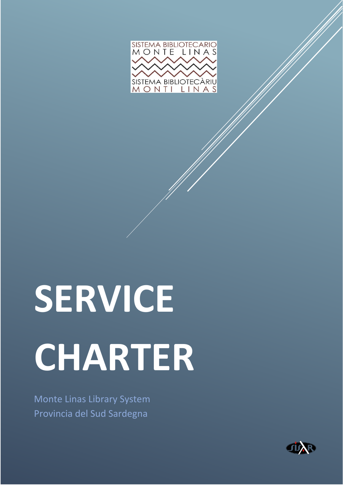

# **SERVICE CHARTER**

Monte Linas Library System Provincia del Sud Sardegna

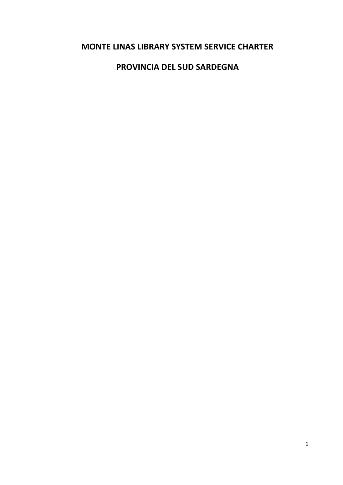## **MONTE LINAS LIBRARY SYSTEM SERVICE CHARTER**

### **PROVINCIA DEL SUD SARDEGNA**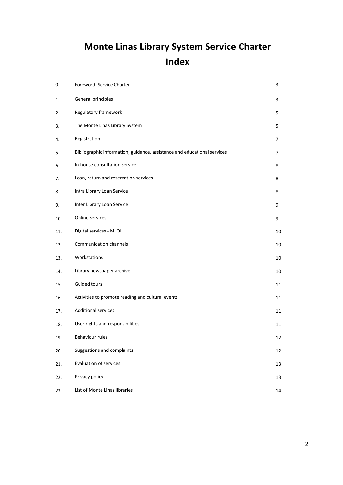# **Monte Linas Library System Service Charter Index**

| 0.  | Foreword. Service Charter                                                | 3  |
|-----|--------------------------------------------------------------------------|----|
| 1.  | General principles                                                       | 3  |
| 2.  | Regulatory framework                                                     | 5  |
| 3.  | The Monte Linas Library System                                           | 5  |
| 4.  | Registration                                                             | 7  |
| 5.  | Bibliographic information, guidance, assistance and educational services | 7  |
| 6.  | In-house consultation service                                            | 8  |
| 7.  | Loan, return and reservation services                                    | 8  |
| 8.  | Intra Library Loan Service                                               | 8  |
| 9.  | Inter Library Loan Service                                               | 9  |
| 10. | Online services                                                          | 9  |
| 11. | Digital services - MLOL                                                  | 10 |
| 12. | Communication channels                                                   | 10 |
| 13. | Workstations                                                             | 10 |
| 14. | Library newspaper archive                                                | 10 |
| 15. | Guided tours                                                             | 11 |
| 16. | Activities to promote reading and cultural events                        | 11 |
| 17. | <b>Additional services</b>                                               | 11 |
| 18. | User rights and responsibilities                                         | 11 |
| 19. | Behaviour rules                                                          | 12 |
| 20. | Suggestions and complaints                                               | 12 |
| 21. | <b>Evaluation of services</b>                                            | 13 |
| 22. | Privacy policy                                                           | 13 |
| 23. | List of Monte Linas libraries                                            | 14 |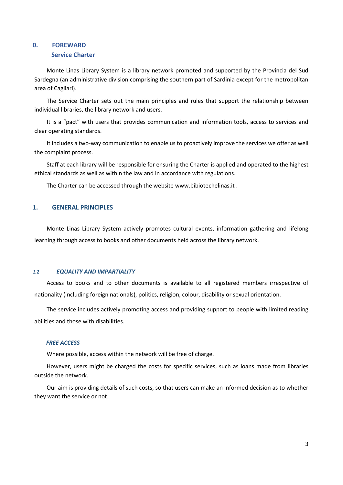#### **0. FOREWARD Service Charter**

Monte Linas Library System is a library network promoted and supported by the Provincia del Sud Sardegna (an administrative division comprising the southern part of Sardinia except for the metropolitan area of Cagliari).

The Service Charter sets out the main principles and rules that support the relationship between individual libraries, the library network and users.

It is a "pact" with users that provides communication and information tools, access to services and clear operating standards.

It includes a two-way communication to enable us to proactively improve the services we offer as well the complaint process.

Staff at each library will be responsible for ensuring the Charter is applied and operated to the highest ethical standards as well as within the law and in accordance with regulations.

The Charter can be accessed through the website www.bibiotechelinas.it .

#### **1. GENERAL PRINCIPLES**

Monte Linas Library System actively promotes cultural events, information gathering and lifelong learning through access to books and other documents held across the library network.

#### *1.2 EQUALITY AND IMPARTIALITY*

Access to books and to other documents is available to all registered members irrespective of nationality (including foreign nationals), politics, religion, colour, disability or sexual orientation.

The service includes actively promoting access and providing support to people with limited reading abilities and those with disabilities.

#### *FREE ACCESS*

Where possible, access within the network will be free of charge.

However, users might be charged the costs for specific services, such as loans made from libraries outside the network.

Our aim is providing details of such costs, so that users can make an informed decision as to whether they want the service or not.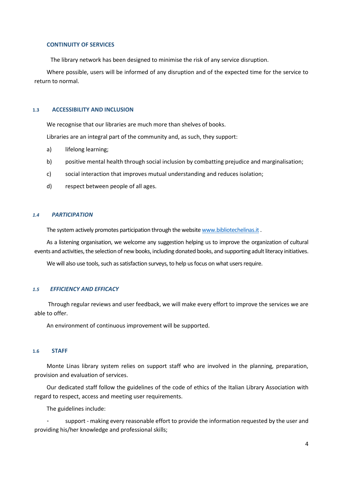#### **CONTINUITY OF SERVICES**

The library network has been designed to minimise the risk of any service disruption.

Where possible, users will be informed of any disruption and of the expected time for the service to return to normal.

#### **1.3 ACCESSIBILITY AND INCLUSION**

We recognise that our libraries are much more than shelves of books.

Libraries are an integral part of the community and, as such, they support:

- a) lifelong learning;
- b) positive mental health through social inclusion by combatting prejudice and marginalisation;
- c) social interaction that improves mutual understanding and reduces isolation;
- d) respect between people of all ages.

#### *1.4 PARTICIPATION*

The system actively promotes participation through the websit[e www.bibliotechelinas.it](http://www.bibliotechelinas.it/) .

As a listening organisation, we welcome any suggestion helping us to improve the organization of cultural events and activities, the selection of new books, including donated books, and supporting adult literacy initiatives.

We will also use tools, such as satisfaction surveys, to help us focus on what users require.

#### *1.5 EFFICIENCY AND EFFICACY*

Through regular reviews and user feedback, we will make every effort to improve the services we are able to offer.

An environment of continuous improvement will be supported.

#### **1.6 STAFF**

Monte Linas library system relies on support staff who are involved in the planning, preparation, provision and evaluation of services.

Our dedicated staff follow the guidelines of the code of ethics of the Italian Library Association with regard to respect, access and meeting user requirements.

The guidelines include:

support - making every reasonable effort to provide the information requested by the user and providing his/her knowledge and professional skills;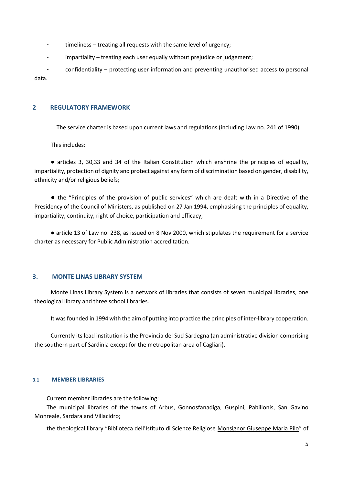- timeliness treating all requests with the same level of urgency;
- impartiality treating each user equally without prejudice or judgement;

- confidentiality – protecting user information and preventing unauthorised access to personal data.

#### **2 REGULATORY FRAMEWORK**

The service charter is based upon current laws and regulations (including Law no. 241 of 1990).

This includes:

● articles 3, 30,33 and 34 of the Italian Constitution which enshrine the principles of equality, impartiality, protection of dignity and protect against any form of discrimination based on gender, disability, ethnicity and/or religious beliefs;

● the "Principles of the provision of public services" which are dealt with in a Directive of the Presidency of the Council of Ministers, as published on 27 Jan 1994, emphasising the principles of equality, impartiality, continuity, right of choice, participation and efficacy;

● article 13 of Law no. 238, as issued on 8 Nov 2000, which stipulates the requirement for a service charter as necessary for Public Administration accreditation.

#### **3. MONTE LINAS LIBRARY SYSTEM**

Monte Linas Library System is a network of libraries that consists of seven municipal libraries, one theological library and three school libraries.

It was founded in 1994 with the aim of putting into practice the principles of inter-library cooperation.

Currently its lead institution is the Provincia del Sud Sardegna (an administrative division comprising the southern part of Sardinia except for the metropolitan area of Cagliari).

#### **3.1 MEMBER LIBRARIES**

Current member libraries are the following:

The municipal libraries of the towns of Arbus, Gonnosfanadiga, Guspini, Pabillonis, San Gavino Monreale, Sardara and Villacidro;

the theological library "Biblioteca dell'Istituto di Scienze Religiose Monsignor Giuseppe Maria Pilo" of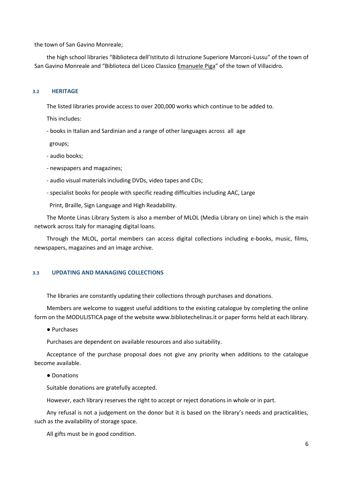the town of San Gavino Monreale;

the high school libraries "Biblioteca dell'Istituto di Istruzione Superiore Marconi-Lussu" of the town of San Gavino Monreale and "Biblioteca del Liceo Classico Emanuele Piga" of the town of Villacidro.

#### **3.2 HERITAGE**

The listed libraries provide access to over 200,000 works which continue to be added to.

This includes:

- books in Italian and Sardinian and a range of other languages across all age

groups;

- audio books;
- newspapers and magazines;
- audio visual materials including DVDs, video tapes and CDs;
- specialist books for people with specific reading difficulties including AAC, Large

Print, Braille, Sign Language and High Readability.

The Monte Linas Library System is also a member of MLOL (Media Library on Line) which is the main network across Italy for managing digital loans.

Through the MLOL, portal members can access digital collections including e-books, music, films, newspapers, magazines and an image archive.

#### **3.3 UPDATING AND MANAGING COLLECTIONS**

The libraries are constantly updating their collections through purchases and donations.

Members are welcome to suggest useful additions to the existing catalogue by completing the online form on the MODULISTICA page of the website www.bibliotechelinas.it or paper forms held at each library.

● Purchases

Purchases are dependent on available resources and also suitability.

Acceptance of the purchase proposal does not give any priority when additions to the catalogue become available.

#### ● Donations

Suitable donations are gratefully accepted.

However, each library reserves the right to accept or reject donations in whole or in part.

Any refusal is not a judgement on the donor but it is based on the library's needs and practicalities, such as the availability of storage space.

All gifts must be in good condition.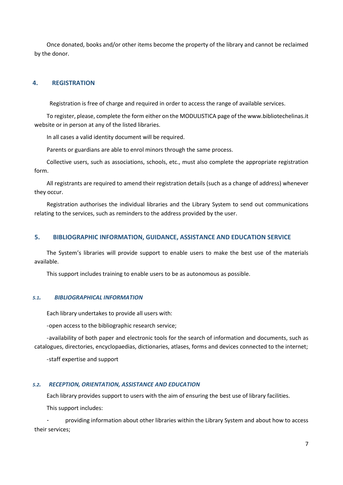Once donated, books and/or other items become the property of the library and cannot be reclaimed by the donor.

#### **4. REGISTRATION**

Registration is free of charge and required in order to access the range of available services.

To register, please, complete the form either on the MODULISTICA page of the www.bibliotechelinas.it website or in person at any of the listed libraries.

In all cases a valid identity document will be required.

Parents or guardians are able to enrol minors through the same process.

Collective users, such as associations, schools, etc., must also complete the appropriate registration form.

All registrants are required to amend their registration details (such as a change of address) whenever they occur.

Registration authorises the individual libraries and the Library System to send out communications relating to the services, such as reminders to the address provided by the user.

#### **5. BIBLIOGRAPHIC INFORMATION, GUIDANCE, ASSISTANCE AND EDUCATION SERVICE**

The System's libraries will provide support to enable users to make the best use of the materials available.

This support includes training to enable users to be as autonomous as possible.

#### *5.1. BIBLIOGRAPHICAL INFORMATION*

Each library undertakes to provide all users with:

-open access to the bibliographic research service;

-availability of both paper and electronic tools for the search of information and documents, such as catalogues, directories, encyclopaedias, dictionaries, atlases, forms and devices connected to the internet;

-staff expertise and support

#### *5.2. RECEPTION, ORIENTATION, ASSISTANCE AND EDUCATION*

Each library provides support to users with the aim of ensuring the best use of library facilities.

This support includes:

providing information about other libraries within the Library System and about how to access their services;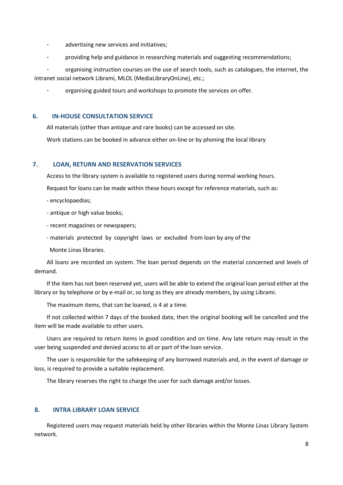- advertising new services and initiatives;
- providing help and guidance in researching materials and suggesting recommendations;

organising instruction courses on the use of search tools, such as catalogues, the internet, the intranet social network Librami, MLOL (MediaLibraryOnLine), etc.;

organising guided tours and workshops to promote the services on offer.

#### **6. IN-HOUSE CONSULTATION SERVICE**

All materials (other than antique and rare books) can be accessed on site.

Work stations can be booked in advance either on-line or by phoning the local library

#### **7. LOAN, RETURN AND RESERVATION SERVICES**

Access to the library system is available to registered users during normal working hours.

Request for loans can be made within these hours except for reference materials, such as:

- encyclopaedias;
- antique or high value books;
- recent magazines or newspapers;
- materials protected by copyright laws or excluded from loan by any of the

Monte Linas libraries.

All loans are recorded on system. The loan period depends on the material concerned and levels of demand.

If the item has not been reserved yet, users will be able to extend the original loan period either at the library or by telephone or by e-mail or, so long as they are already members, by using Librami.

The maximum items, that can be loaned, is 4 at a time.

If not collected within 7 days of the booked date, then the original booking will be cancelled and the item will be made available to other users.

Users are required to return items in good condition and on time. Any late return may result in the user being suspended and denied access to all or part of the loan service.

The user is responsible for the safekeeping of any borrowed materials and, in the event of damage or loss, is required to provide a suitable replacement.

The library reserves the right to charge the user for such damage and/or losses.

#### **8. INTRA LIBRARY LOAN SERVICE**

Registered users may request materials held by other libraries within the Monte Linas Library System network.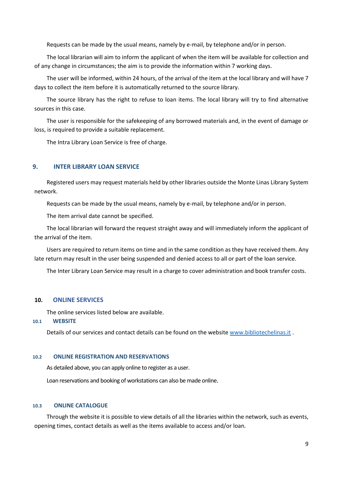Requests can be made by the usual means, namely by e-mail, by telephone and/or in person.

The local librarian will aim to inform the applicant of when the item will be available for collection and of any change in circumstances; the aim is to provide the information within 7 working days.

The user will be informed, within 24 hours, of the arrival of the item at the local library and will have 7 days to collect the item before it is automatically returned to the source library.

The source library has the right to refuse to loan items. The local library will try to find alternative sources in this case.

The user is responsible for the safekeeping of any borrowed materials and, in the event of damage or loss, is required to provide a suitable replacement.

The Intra Library Loan Service is free of charge.

#### **9. INTER LIBRARY LOAN SERVICE**

Registered users may request materials held by other libraries outside the Monte Linas Library System network.

Requests can be made by the usual means, namely by e-mail, by telephone and/or in person.

The item arrival date cannot be specified.

The local librarian will forward the request straight away and will immediately inform the applicant of the arrival of the item.

Users are required to return items on time and in the same condition as they have received them. Any late return may result in the user being suspended and denied access to all or part of the loan service.

The Inter Library Loan Service may result in a charge to cover administration and book transfer costs.

#### **10. ONLINE SERVICES**

The online services listed below are available.

**10.1 WEBSITE**

Details of our services and contact details can be found on the website [www.bibliotechelinas.it](http://www.bibliotechelinas.it/) .

#### **10.2 ONLINE REGISTRATION AND RESERVATIONS**

As detailed above, you can apply online to register as a user.

Loan reservations and booking of workstations can also be made online.

#### **10.3 ONLINE CATALOGUE**

Through the website it is possible to view details of all the libraries within the network, such as events, opening times, contact details as well as the items available to access and/or loan.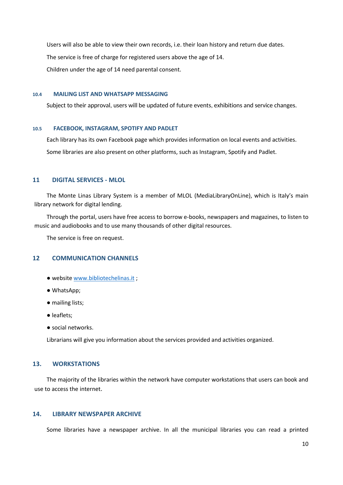Users will also be able to view their own records, i.e. their loan history and return due dates. The service is free of charge for registered users above the age of 14. Children under the age of 14 need parental consent.

#### **10.4 MAILING LIST AND WHATSAPP MESSAGING**

Subject to their approval, users will be updated of future events, exhibitions and service changes.

#### **10.5 FACEBOOK, INSTAGRAM, SPOTIFY AND PADLET**

Each library has its own Facebook page which provides information on local events and activities. Some libraries are also present on other platforms, such as Instagram, Spotify and Padlet.

#### **11 DIGITAL SERVICES - MLOL**

The Monte Linas Library System is a member of MLOL (MediaLibraryOnLine), which is Italy's main library network for digital lending.

Through the portal, users have free access to borrow e-books, newspapers and magazines, to listen to music and audiobooks and to use many thousands of other digital resources.

The service is free on request.

#### **12 COMMUNICATION CHANNELS**

- website [www.bibliotechelinas.it](http://www.bibliotechelinas.it/) ;
- WhatsApp;
- mailing lists;
- leaflets;
- social networks.

Librarians will give you information about the services provided and activities organized.

#### **13. WORKSTATIONS**

The majority of the libraries within the network have computer workstations that users can book and use to access the internet.

#### **14. LIBRARY NEWSPAPER ARCHIVE**

Some libraries have a newspaper archive. In all the municipal libraries you can read a printed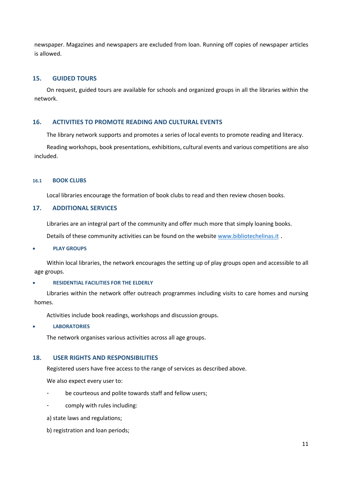newspaper. Magazines and newspapers are excluded from loan. Running off copies of newspaper articles is allowed.

#### **15. GUIDED TOURS**

On request, guided tours are available for schools and organized groups in all the libraries within the network.

#### **16. ACTIVITIES TO PROMOTE READING AND CULTURAL EVENTS**

The library network supports and promotes a series of local events to promote reading and literacy.

Reading workshops, book presentations, exhibitions, cultural events and various competitions are also included.

#### **16.1 BOOK CLUBS**

Local libraries encourage the formation of book clubs to read and then review chosen books.

#### **17. ADDITIONAL SERVICES**

Libraries are an integral part of the community and offer much more that simply loaning books.

Details of these community activities can be found on the website [www.bibliotechelinas.it](http://www.bibliotechelinas.it/).

#### • **PLAY GROUPS**

Within local libraries, the network encourages the setting up of play groups open and accessible to all age groups.

#### • **RESIDENTIAL FACILITIES FOR THE ELDERLY**

Libraries within the network offer outreach programmes including visits to care homes and nursing homes.

Activities include book readings, workshops and discussion groups.

#### • **LABORATORIES**

The network organises various activities across all age groups.

#### **18. USER RIGHTS AND RESPONSIBILITIES**

Registered users have free access to the range of services as described above.

We also expect every user to:

- be courteous and polite towards staff and fellow users;
- comply with rules including:
- a) state laws and regulations;
- b) registration and loan periods;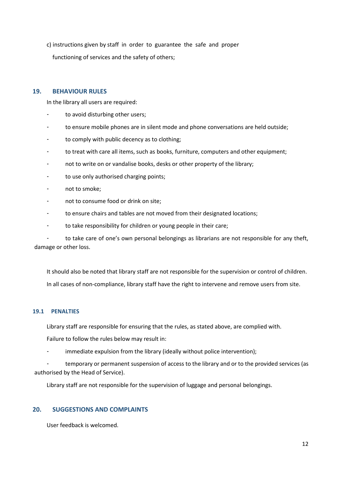c) instructions given by staff in order to guarantee the safe and proper functioning of services and the safety of others;

#### **19. BEHAVIOUR RULES**

In the library all users are required:

- to avoid disturbing other users;
- to ensure mobile phones are in silent mode and phone conversations are held outside;
- to comply with public decency as to clothing;
- to treat with care all items, such as books, furniture, computers and other equipment;
- not to write on or vandalise books, desks or other property of the library;
- to use only authorised charging points;
- not to smoke;
- not to consume food or drink on site:
- to ensure chairs and tables are not moved from their designated locations;
- to take responsibility for children or young people in their care;

- to take care of one's own personal belongings as librarians are not responsible for any theft, damage or other loss.

It should also be noted that library staff are not responsible for the supervision or control of children. In all cases of non-compliance, library staff have the right to intervene and remove users from site.

#### **19.1 PENALTIES**

Library staff are responsible for ensuring that the rules, as stated above, are complied with.

Failure to follow the rules below may result in:

immediate expulsion from the library (ideally without police intervention);

temporary or permanent suspension of access to the library and or to the provided services (as authorised by the Head of Service).

Library staff are not responsible for the supervision of luggage and personal belongings.

#### **20. SUGGESTIONS AND COMPLAINTS**

User feedback is welcomed.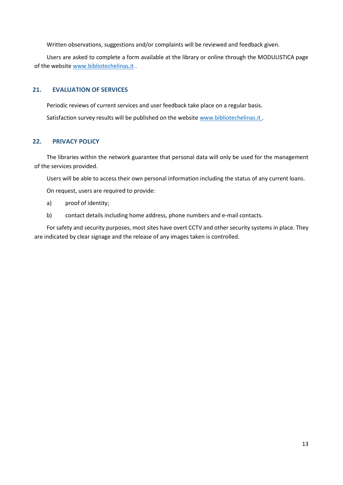Written observations, suggestions and/or complaints will be reviewed and feedback given.

Users are asked to complete a form available at the library or online through the MODULISTICA page of the websit[e www.bibliotechelinas.it](http://www.bibliotechelinas.it/) .

#### **21. EVALUATION OF SERVICES**

Periodic reviews of current services and user feedback take place on a regular basis. Satisfaction survey results will be published on the websit[e www.bibliotechelinas.it](http://www.bibliotechelinas.it/) .

#### **22. PRIVACY POLICY**

The libraries within the network guarantee that personal data will only be used for the management of the services provided.

Users will be able to access their own personal information including the status of any current loans.

On request, users are required to provide:

- a) proof of identity;
- b) contact details including home address, phone numbers and e-mail contacts.

For safety and security purposes, most sites have overt CCTV and other security systems in place. They are indicated by clear signage and the release of any images taken is controlled.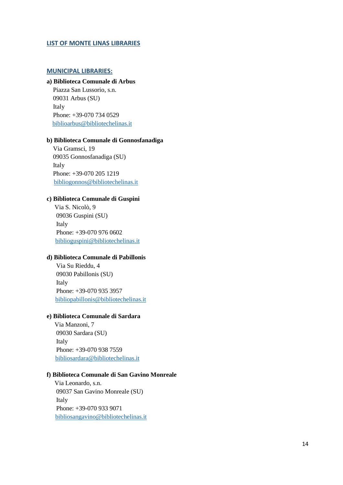#### **LIST OF MONTE LINAS LIBRARIES**

#### **MUNICIPAL LIBRARIES:**

#### **a) Biblioteca Comunale di Arbus**

 Piazza San Lussorio, s.n. 09031 Arbus (SU) Italy Phone: +39-070 734 0529 [biblioarbus@bibliotechelinas.it](mailto:biblioarbus@bibliotechelinas.it)

#### **b) Biblioteca Comunale di Gonnosfanadiga**

 Via Gramsci, 19 09035 Gonnosfanadiga (SU) Italy Phone: +39-070 205 1219 [bibliogonnos@bibliotechelinas.it](mailto:bibliogonnos@bibliotechelinas.it)

#### **c) Biblioteca Comunale di Guspini**

 Via S. Nicolò, 9 09036 Guspini (SU) Italy Phone: +39-070 976 0602 [biblioguspini@bibliotechelinas.it](mailto:biblioguspini@bibliotechelinas.it)

#### **d) Biblioteca Comunale di Pabillonis**

 Via Su Rieddu, 4 09030 Pabillonis (SU) Italy Phone: +39-070 935 3957 [bibliopabillonis@bibliotechelinas.it](mailto:bibliopabillonis@bibliotechelinas.it)

#### **e) Biblioteca Comunale di Sardara**

 Via Manzoni, 7 09030 Sardara (SU) Italy Phone: +39-070 938 7559 [bibliosardara@bibliotechelinas.it](mailto:bibliosardara@bibliotechelinas.it)

#### **f) Biblioteca Comunale di San Gavino Monreale**

 Via Leonardo, s.n. 09037 San Gavino Monreale (SU) Italy Phone: +39-070 933 9071 [bibliosangavino@bibliotechelinas.it](mailto:bibliosangavino@bibliotechelinas.it)